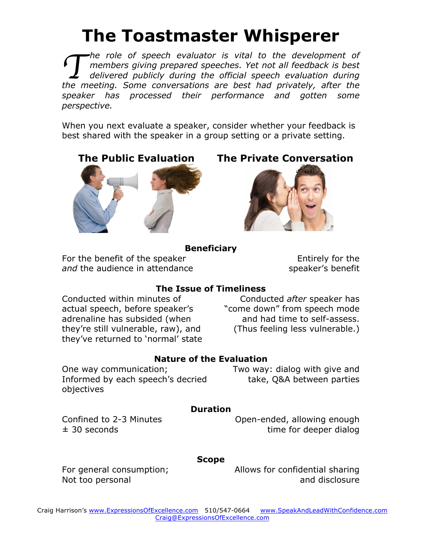# **The Toastmaster Whisperer**

*he role of speech evaluator is vital to the development of members giving prepared speeches. Yet not all feedback is best delivered publicly during the official speech evaluation during the role of speech evaluator is vital to the development of members giving prepared speeches. Yet not all feedback is best delivered publicly during the official speech evaluation during the meeting. Some conversations ar speaker has processed their performance and gotten some perspective.* 

When you next evaluate a speaker, consider whether your feedback is best shared with the speaker in a group setting or a private setting.



**The Public Evaluation The Private Conversation**



#### **Beneficiary**

For the benefit of the speaker *and* the audience in attendance

Entirely for the speaker's benefit

## **The Issue of Timeliness**

Conducted within minutes of actual speech, before speaker's adrenaline has subsided (when they're still vulnerable, raw), and they've returned to 'normal' state

Conducted *after* speaker has "come down" from speech mode and had time to self-assess. (Thus feeling less vulnerable.)

### **Nature of the Evaluation**

Two way: dialog with give and take, Q&A between parties

## Informed by each speech's decried objectives

## **Duration**

Confined to 2-3 Minutes  $±$  30 seconds

One way communication;

Open-ended, allowing enough time for deeper dialog

## **Scope**

For general consumption; Not too personal

Allows for confidential sharing and disclosure